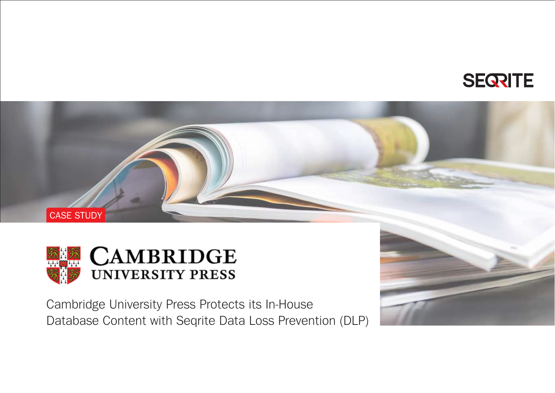**SEQRITE** 



CASE STUDY

Cambridge University Press Protects its In-House Database Content with Seqrite Data Loss Prevention (DLP)

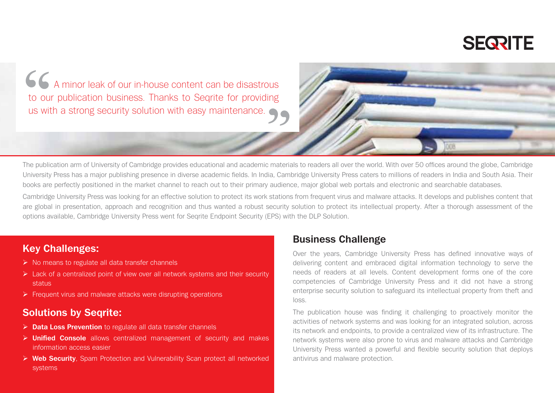

A minor leak of our in-house content can be disastrous to our publication business. Thanks to Seqrite for providing us with a strong security solution with easy maintenance.

The publication arm of University of Cambridge provides educational and academic materials to readers all over the world. With over 50 offices around the globe, Cambridge University Press has a major publishing presence in diverse academic fields. In India, Cambridge University Press caters to millions of readers in India and South Asia. Their books are perfectly positioned in the market channel to reach out to their primary audience, major global web portals and electronic and searchable databases.

Cambridge University Press was looking for an effective solution to protect its work stations from frequent virus and malware attacks. It develops and publishes content that are global in presentation, approach and recognition and thus wanted a robust security solution to protect its intellectual property. After a thorough assessment of the options available, Cambridge University Press went for Seqrite Endpoint Security (EPS) with the DLP Solution.

#### **Key Challenges:**

- $\triangleright$  No means to regulate all data transfer channels
- $\triangleright$  Lack of a centralized point of view over all network systems and their security status
- $\triangleright$  Frequent virus and malware attacks were disrupting operations

#### **Solutions by Seqrite:**

- **Data Loss Prevention** to regulate all data transfer channels
- **Unified Console** allows centralized management of security and makes information access easier
- **Web Security**, Spam Protection and Vulnerability Scan protect all networked systems

#### **Business Challenge**

Over the years, Cambridge University Press has defined innovative ways of delivering content and embraced digital information technology to serve the needs of readers at all levels. Content development forms one of the core competencies of Cambridge University Press and it did not have a strong enterprise security solution to safeguard its intellectual property from theft and loss.

The publication house was finding it challenging to proactively monitor the activities of network systems and was looking for an integrated solution, across its network and endpoints, to provide a centralized view of its infrastructure. The network systems were also prone to virus and malware attacks and Cambridge University Press wanted a powerful and flexible security solution that deploys antivirus and malware protection.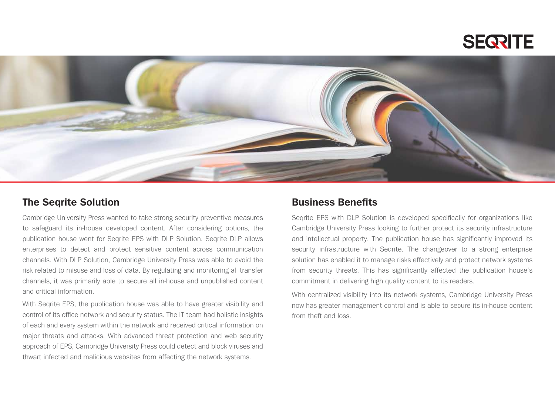## **SEQRITE**



#### **The Seqrite Solution**

Cambridge University Press wanted to take strong security preventive measures to safeguard its in-house developed content. After considering options, the publication house went for Seqrite EPS with DLP Solution. Seqrite DLP allows enterprises to detect and protect sensitive content across communication channels. With DLP Solution, Cambridge University Press was able to avoid the risk related to misuse and loss of data. By regulating and monitoring all transfer channels, it was primarily able to secure all in-house and unpublished content and critical information.

With Seqrite EPS, the publication house was able to have greater visibility and control of its office network and security status. The IT team had holistic insights of each and every system within the network and received critical information on major threats and attacks. With advanced threat protection and web security approach of EPS, Cambridge University Press could detect and block viruses and thwart infected and malicious websites from affecting the network systems.

#### **Business Benefits**

Seqrite EPS with DLP Solution is developed specifically for organizations like Cambridge University Press looking to further protect its security infrastructure and intellectual property. The publication house has significantly improved its security infrastructure with Seqrite. The changeover to a strong enterprise solution has enabled it to manage risks effectively and protect network systems from security threats. This has significantly affected the publication house's commitment in delivering high quality content to its readers.

With centralized visibility into its network systems, Cambridge University Press now has greater management control and is able to secure its in-house content from theft and loss.